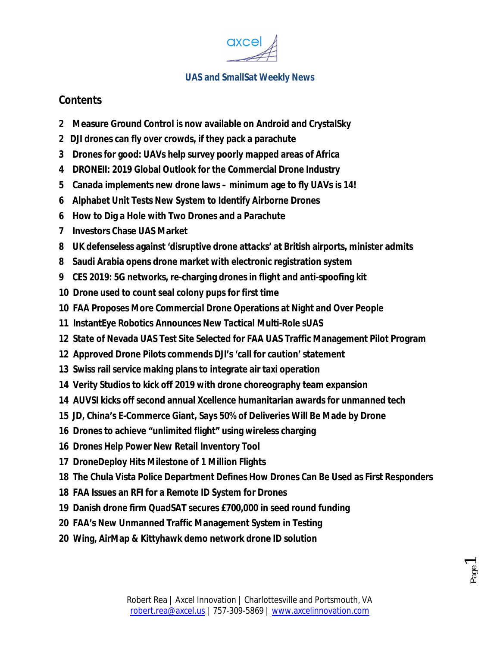

# **Contents**

- **2 Measure Ground Control is now available on Android and CrystalSky**
- **2 DJI drones can fly over crowds, if they pack a parachute**
- **3 Drones for good: UAVs help survey poorly mapped areas of Africa**
- **4 DRONEII: 2019 Global Outlook for the Commercial Drone Industry**
- **5 Canada implements new drone laws – minimum age to fly UAVs is 14!**
- **6 Alphabet Unit Tests New System to Identify Airborne Drones**
- **6 How to Dig a Hole with Two Drones and a Parachute**
- **7 Investors Chase UAS Market**
- **8 UK defenseless against 'disruptive drone attacks' at British airports, minister admits**
- **8 Saudi Arabia opens drone market with electronic registration system**
- **9 CES 2019: 5G networks, re-charging drones in flight and anti-spoofing kit**
- **10 Drone used to count seal colony pups for first time**
- **10 FAA Proposes More Commercial Drone Operations at Night and Over People**
- **11 InstantEye Robotics Announces New Tactical Multi-Role sUAS**
- **12 State of Nevada UAS Test Site Selected for FAA UAS Traffic Management Pilot Program**
- **12 Approved Drone Pilots commends DJI's 'call for caution' statement**
- **13 Swiss rail service making plans to integrate air taxi operation**
- **14 Verity Studios to kick off 2019 with drone choreography team expansion**
- **14 AUVSI kicks off second annual Xcellence humanitarian awards for unmanned tech**
- **15 JD, China's E-Commerce Giant, Says 50% of Deliveries Will Be Made by Drone**
- **16 Drones to achieve "unlimited flight" using wireless charging**
- **16 Drones Help Power New Retail Inventory Tool**
- **17 DroneDeploy Hits Milestone of 1 Million Flights**
- **18 The Chula Vista Police Department Defines How Drones Can Be Used as First Responders**
- **18 FAA Issues an RFI for a Remote ID System for Drones**
- **19 Danish drone firm QuadSAT secures £700,000 in seed round funding**
- **20 FAA's New Unmanned Traffic Management System in Testing**
- **20 Wing, AirMap & Kittyhawk demo network drone ID solution**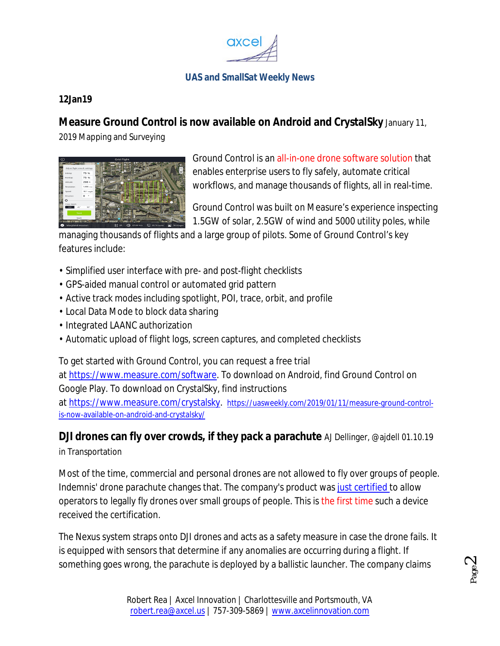

### **12Jan19**

# **Measure Ground Control is now available on Android and CrystalSky** January 11,

2019 Mapping and Surveying



Ground Control is an all-in-one drone software solution that enables enterprise users to fly safely, automate critical workflows, and manage thousands of flights, all in real-time.

Ground Control was built on Measure's experience inspecting 1.5GW of solar, 2.5GW of wind and 5000 utility poles, while

managing thousands of flights and a large group of pilots. Some of Ground Control's key features include:

- Simplified user interface with pre- and post-flight checklists
- GPS-aided manual control or automated grid pattern
- Active track modes including spotlight, POI, trace, orbit, and profile
- Local Data Mode to block data sharing
- Integrated LAANC authorization
- Automatic upload of flight logs, screen captures, and completed checklists

To get started with Ground Control, you can request a free trial at https://www.measure.com/software. To download on Android, find Ground Control on Google Play. To download on CrystalSky, find instructions at https://www.measure.com/crystalsky. https://uasweekly.com/2019/01/11/measure-ground-controlis-now-available-on-android-and-crystalsky/

**DJI drones can fly over crowds, if they pack a parachute** AJ Dellinger, @ajdell 01.10.19 in Transportation

Most of the time, commercial and personal drones are not allowed to fly over groups of people. Indemnis' drone parachute changes that. The company's product was just certified to allow operators to legally fly drones over small groups of people. This is the first time such a device received the certification.

The Nexus system straps onto DJI drones and acts as a safety measure in case the drone fails. It is equipped with sensors that determine if any anomalies are occurring during a flight. If something goes wrong, the parachute is deployed by a ballistic launcher. The company claims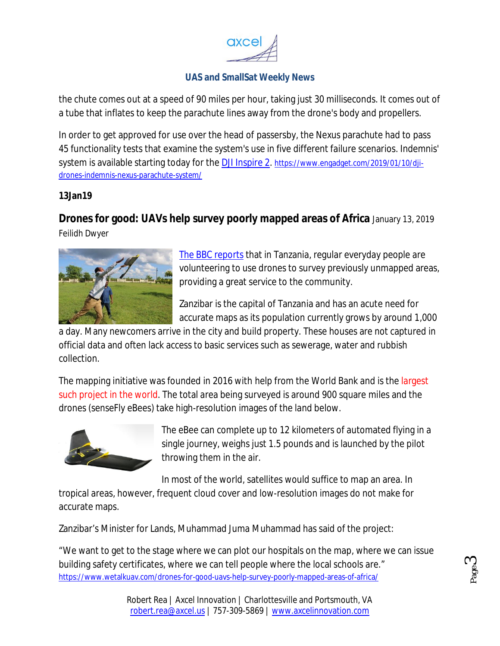

the chute comes out at a speed of 90 miles per hour, taking just 30 milliseconds. It comes out of a tube that inflates to keep the parachute lines away from the drone's body and propellers.

In order to get approved for use over the head of passersby, the Nexus parachute had to pass 45 functionality tests that examine the system's use in five different failure scenarios. Indemnis' system is available starting today for the DJI Inspire 2. https://www.engadget.com/2019/01/10/djidrones-indemnis-nexus-parachute-system/

### **13Jan19**

**Drones for good: UAVs help survey poorly mapped areas of Africa** January 13, 2019

Feilidh Dwyer



The BBC reports that in Tanzania, regular everyday people are volunteering to use drones to survey previously unmapped areas, providing a great service to the community.

Zanzibar is the capital of Tanzania and has an acute need for accurate maps as its population currently grows by around 1,000

a day. Many newcomers arrive in the city and build property. These houses are not captured in official data and often lack access to basic services such as sewerage, water and rubbish collection.

The mapping initiative was founded in 2016 with help from the World Bank and is the largest such project in the world. The total area being surveyed is around 900 square miles and the drones (senseFly eBees) take high-resolution images of the land below.



The eBee can complete up to 12 kilometers of automated flying in a single journey, weighs just 1.5 pounds and is launched by the pilot throwing them in the air.

In most of the world, satellites would suffice to map an area. In

tropical areas, however, frequent cloud cover and low-resolution images do not make for accurate maps.

Zanzibar's Minister for Lands, Muhammad Juma Muhammad has said of the project:

"We want to get to the stage where we can plot our hospitals on the map, where we can issue building safety certificates, where we can tell people where the local schools are." https://www.wetalkuav.com/drones-for-good-uavs-help-survey-poorly-mapped-areas-of-africa/

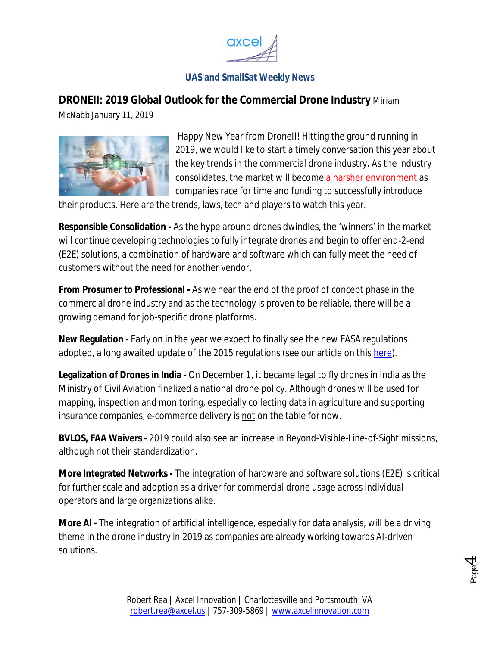

# **DRONEII: 2019 Global Outlook for the Commercial Drone Industry** Miriam

McNabb January 11, 2019



Happy New Year from DroneII! Hitting the ground running in 2019, we would like to start a timely conversation this year about the key trends in the commercial drone industry. As the industry consolidates, the market will become a harsher environment as companies race for time and funding to successfully introduce

their products. Here are the trends, laws, tech and players to watch this year.

**Responsible Consolidation -** As the hype around drones dwindles, the 'winners' in the market will continue developing technologies to fully integrate drones and begin to offer end-2-end (E2E) solutions, a combination of hardware and software which can fully meet the need of customers without the need for another vendor.

**From Prosumer to Professional -** As we near the end of the proof of concept phase in the commercial drone industry and as the technology is proven to be reliable, there will be a growing demand for job-specific drone platforms.

**New Regulation -** Early on in the year we expect to finally see the new EASA regulations adopted, a long awaited update of the 2015 regulations (see our article on this here).

**Legalization of Drones in India -** On December 1, it became legal to fly drones in India as the Ministry of Civil Aviation finalized a national drone policy. Although drones will be used for mapping, inspection and monitoring, especially collecting data in agriculture and supporting insurance companies, e-commerce delivery is not on the table for now.

**BVLOS, FAA Waivers -** 2019 could also see an increase in Beyond-Visible-Line-of-Sight missions, although not their standardization.

**More Integrated Networks -** The integration of hardware and software solutions (E2E) is critical for further scale and adoption as a driver for commercial drone usage across individual operators and large organizations alike.

**More AI -** The integration of artificial intelligence, especially for data analysis, will be a driving theme in the drone industry in 2019 as companies are already working towards AI-driven solutions.

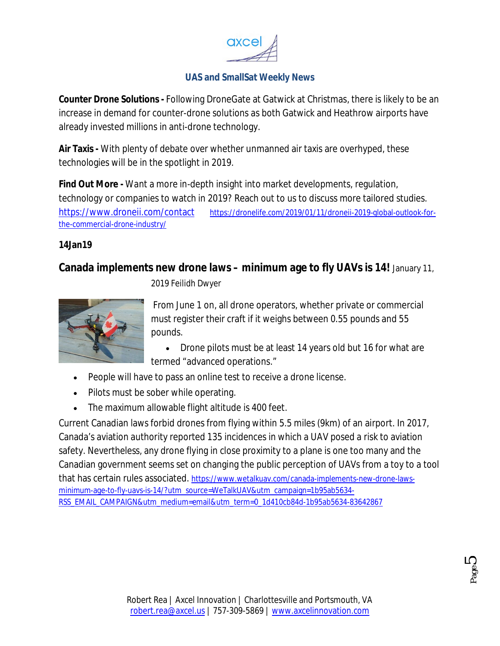

**Counter Drone Solutions -** Following DroneGate at Gatwick at Christmas, there is likely to be an increase in demand for counter-drone solutions as both Gatwick and Heathrow airports have already invested millions in anti-drone technology.

**Air Taxis -** With plenty of debate over whether unmanned air taxis are overhyped, these technologies will be in the spotlight in 2019.

**Find Out More -** Want a more in-depth insight into market developments, regulation, technology or companies to watch in 2019? Reach out to us to discuss more tailored studies. https://www.droneii.com/contact https://dronelife.com/2019/01/11/droneii-2019-global-outlook-forthe-commercial-drone-industry/

### **14Jan19**

## **Canada implements new drone laws – minimum age to fly UAVs is 14!** January 11,



2019 Feilidh Dwyer

From June 1 on, all drone operators, whether private or commercial must register their craft if it weighs between 0.55 pounds and 55 pounds.

 Drone pilots must be at least 14 years old but 16 for what are termed "advanced operations."

- People will have to pass an online test to receive a drone license.
- Pilots must be sober while operating.
- The maximum allowable flight altitude is 400 feet.

Current Canadian laws forbid drones from flying within 5.5 miles (9km) of an airport. In 2017, Canada's aviation authority reported 135 incidences in which a UAV posed a risk to aviation safety. Nevertheless, any drone flying in close proximity to a plane is one too many and the Canadian government seems set on changing the public perception of UAVs from a toy to a tool that has certain rules associated. https://www.wetalkuav.com/canada-implements-new-drone-lawsminimum-age-to-fly-uavs-is-14/?utm\_source=WeTalkUAV&utm\_campaign=1b95ab5634- RSS\_EMAIL\_CAMPAIGN&utm\_medium=email&utm\_term=0\_1d410cb84d-1b95ab5634-83642867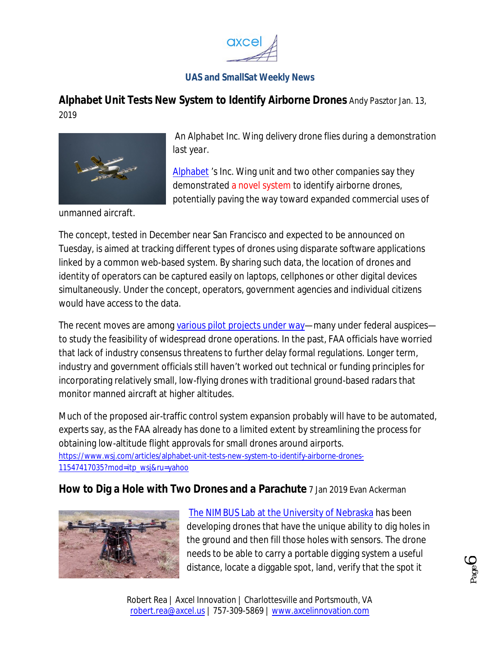

**Alphabet Unit Tests New System to Identify Airborne Drones** *Andy Pasztor* Jan. 13, 2019



*An Alphabet Inc. Wing delivery drone flies during a demonstration last year.*

Alphabet 's Inc. Wing unit and two other companies say they demonstrated a novel system to identify airborne drones, potentially paving the way toward expanded commercial uses of

unmanned aircraft.

The concept, tested in December near San Francisco and expected to be announced on Tuesday, is aimed at tracking different types of drones using disparate software applications linked by a common web-based system. By sharing such data, the location of drones and identity of operators can be captured easily on laptops, cellphones or other digital devices simultaneously. Under the concept, operators, government agencies and individual citizens would have access to the data.

The recent moves are among various pilot projects under way—many under federal auspices to study the feasibility of widespread drone operations. In the past, FAA officials have worried that lack of industry consensus threatens to further delay formal regulations. Longer term, industry and government officials still haven't worked out technical or funding principles for incorporating relatively small, low-flying drones with traditional ground-based radars that monitor manned aircraft at higher altitudes.

Much of the proposed air-traffic control system expansion probably will have to be automated, experts say, as the FAA already has done to a limited extent by streamlining the process for obtaining low-altitude flight approvals for small drones around airports. https://www.wsj.com/articles/alphabet-unit-tests-new-system-to-identify-airborne-drones-11547417035?mod=itp\_wsj&ru=yahoo

### **How to Dig a Hole with Two Drones and a Parachute** 7 Jan 2019 Evan Ackerman



The NIMBUS Lab at the University of Nebraska has been developing drones that have the unique ability to dig holes in the ground and then fill those holes with sensors. The drone needs to be able to carry a portable digging system a useful distance, locate a diggable spot, land, verify that the spot it



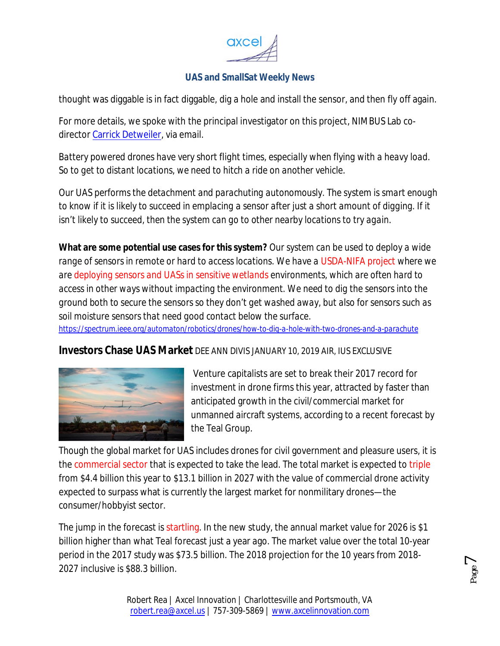

thought was diggable is in fact diggable, dig a hole and install the sensor, and then fly off again.

For more details, we spoke with the principal investigator on this project, NIMBUS Lab codirector Carrick Detweiler, via email.

*Battery powered drones have very short flight times, especially when flying with a heavy load. So to get to distant locations, we need to hitch a ride on another vehicle.* 

*Our UAS performs the detachment and parachuting autonomously. The system is smart enough to know if it is likely to succeed in emplacing a sensor after just a short amount of digging. If it isn't likely to succeed, then the system can go to other nearby locations to try again.*

**What are some potential use cases for this system?** *Our system can be used to deploy a wide range of sensors in remote or hard to access locations. We have a USDA-NIFA project where we are deploying sensors and UASs in sensitive wetlands environments, which are often hard to access in other ways without impacting the environment. We need to dig the sensors into the ground both to secure the sensors so they don't get washed away, but also for sensors such as soil moisture sensors that need good contact below the surface.*

*https://spectrum.ieee.org/automaton/robotics/drones/how-to-dig-a-hole-with-two-drones-and-a-parachute*

**Investors Chase UAS Market** DEE ANN DIVIS JANUARY 10, 2019 AIR, IUS EXCLUSIVE



Venture capitalists are set to break their 2017 record for investment in drone firms this year, attracted by faster than anticipated growth in the civil/commercial market for unmanned aircraft systems, according to a recent forecast by the Teal Group.

Though the global market for UAS includes drones for civil government and pleasure users, it is the commercial sector that is expected to take the lead. The total market is expected to triple from \$4.4 billion this year to \$13.1 billion in 2027 with the value of commercial drone activity expected to surpass what is currently the largest market for nonmilitary drones—the consumer/hobbyist sector.

The jump in the forecast is startling. In the new study, the annual market value for 2026 is \$1 billion higher than what Teal forecast just a year ago. The market value over the total 10-year period in the 2017 study was \$73.5 billion. The 2018 projection for the 10 years from 2018- 2027 inclusive is \$88.3 billion.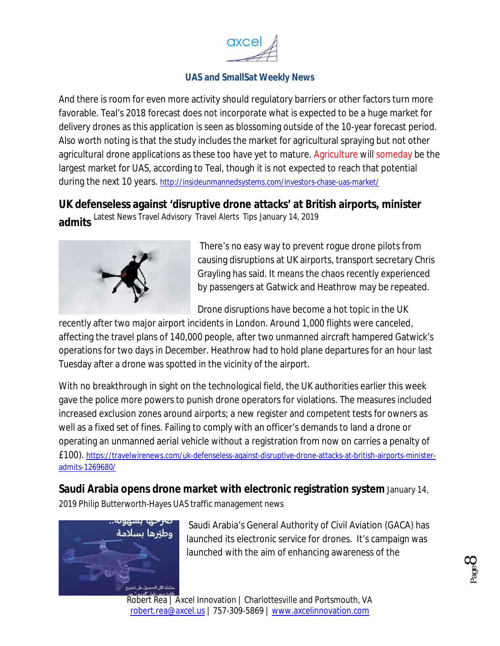

And there is room for even more activity should regulatory barriers or other factors turn more favorable. Teal's 2018 forecast does not incorporate what is expected to be a huge market for delivery drones as this application is seen as blossoming outside of the 10-year forecast period. Also worth noting is that the study includes the market for agricultural spraying but not other agricultural drone applications as these too have yet to mature. Agriculture will someday be the largest market for UAS, according to Teal, though it is not expected to reach that potential during the next 10 years. http://insideunmannedsystems.com/investors-chase-uas-market/

# **UK defenseless against 'disruptive drone attacks' at British airports, minister**

admits Latest News Travel Advisory Travel Alerts Tips January 14, 2019



There's no easy way to prevent rogue drone pilots from causing disruptions at UK airports, transport secretary Chris Grayling has said. It means the chaos recently experienced by passengers at Gatwick and Heathrow may be repeated.

Drone disruptions have become a hot topic in the UK

recently after two major airport incidents in London. Around 1,000 flights were canceled, affecting the travel plans of 140,000 people, after two unmanned aircraft hampered Gatwick's operations for two days in December. Heathrow had to hold plane departures for an hour last Tuesday after a drone was spotted in the vicinity of the airport.

With no breakthrough in sight on the technological field, the UK authorities earlier this week gave the police more powers to punish drone operators for violations. The measures included increased exclusion zones around airports; a new register and competent tests for owners as well as a fixed set of fines. Failing to comply with an officer's demands to land a drone or operating an unmanned aerial vehicle without a registration from now on carries a penalty of £100). https://travelwirenews.com/uk-defenseless-against-disruptive-drone-attacks-at-british-airports-ministeradmits-1269680/

**Saudi Arabia opens drone market with electronic registration system** January 14,

2019 Philip Butterworth-Hayes UAS traffic management news



Saudi Arabia's General Authority of Civil Aviation (GACA) has launched its electronic service for drones. It's campaign was launched with the aim of enhancing awareness of the

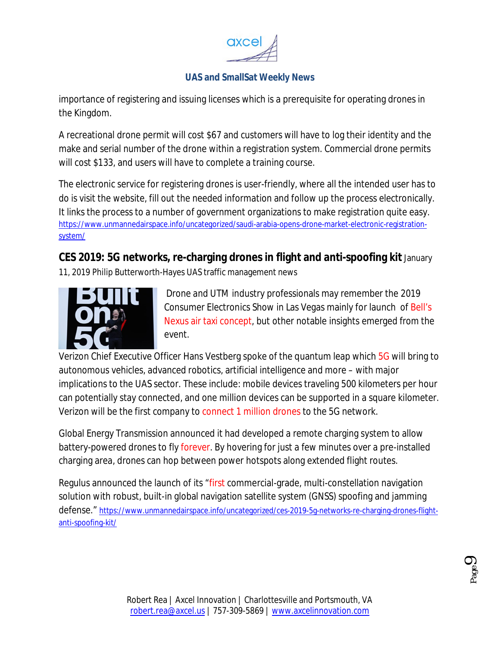

importance of registering and issuing licenses which is a prerequisite for operating drones in the Kingdom.

A recreational drone permit will cost \$67 and customers will have to log their identity and the make and serial number of the drone within a registration system. Commercial drone permits will cost \$133, and users will have to complete a training course.

The electronic service for registering drones is user-friendly, where all the intended user has to do is visit the website, fill out the needed information and follow up the process electronically. It links the process to a number of government organizations to make registration quite easy. https://www.unmannedairspace.info/uncategorized/saudi-arabia-opens-drone-market-electronic-registrationsystem/

**CES 2019: 5G networks, re-charging drones in flight and anti-spoofing kit** January 11, 2019 Philip Butterworth-Hayes UAS traffic management news



Drone and UTM industry professionals may remember the 2019 Consumer Electronics Show in Las Vegas mainly for launch of Bell's Nexus air taxi concept, but other notable insights emerged from the event.

Verizon Chief Executive Officer Hans Vestberg spoke of the quantum leap which 5G will bring to autonomous vehicles, advanced robotics, artificial intelligence and more – with major implications to the UAS sector. These include: mobile devices traveling 500 kilometers per hour can potentially stay connected, and one million devices can be supported in a square kilometer. Verizon will be the first company to connect 1 million drones to the 5G network.

Global Energy Transmission announced it had developed a remote charging system to allow battery-powered drones to fly forever. By hovering for just a few minutes over a pre-installed charging area, drones can hop between power hotspots along extended flight routes.

Regulus announced the launch of its "first commercial-grade, multi-constellation navigation solution with robust, built-in global navigation satellite system (GNSS) spoofing and jamming defense." https://www.unmannedairspace.info/uncategorized/ces-2019-5g-networks-re-charging-drones-flightanti-spoofing-kit/

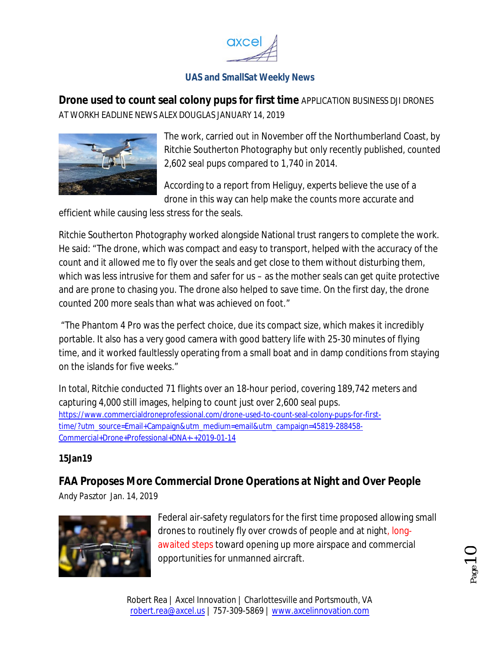

**Drone used to count seal colony pups for first time** APPLICATION BUSINESS DJI DRONES AT WORKH EADLINE NEWS ALEX DOUGLAS JANUARY 14, 2019



The work, carried out in November off the Northumberland Coast, by Ritchie Southerton Photography but only recently published, counted 2,602 seal pups compared to 1,740 in 2014.

According to a report from Heliguy, experts believe the use of a drone in this way can help make the counts more accurate and

efficient while causing less stress for the seals.

Ritchie Southerton Photography worked alongside National trust rangers to complete the work. He said: "The drone, which was compact and easy to transport, helped with the accuracy of the count and it allowed me to fly over the seals and get close to them without disturbing them, which was less intrusive for them and safer for us – as the mother seals can get quite protective and are prone to chasing you. The drone also helped to save time. On the first day, the drone counted 200 more seals than what was achieved on foot."

"The Phantom 4 Pro was the perfect choice, due its compact size, which makes it incredibly portable. It also has a very good camera with good battery life with 25-30 minutes of flying time, and it worked faultlessly operating from a small boat and in damp conditions from staying on the islands for five weeks."

In total, Ritchie conducted 71 flights over an 18-hour period, covering 189,742 meters and capturing 4,000 still images, helping to count just over 2,600 seal pups. https://www.commercialdroneprofessional.com/drone-used-to-count-seal-colony-pups-for-firsttime/?utm\_source=Email+Campaign&utm\_medium=email&utm\_campaign=45819-288458- Commercial+Drone+Professional+DNA+-+2019-01-14

### **15Jan19**

# **FAA Proposes More Commercial Drone Operations at Night and Over People**

*Andy Pasztor* Jan. 14, 2019



Federal air-safety regulators for the first time proposed allowing small drones to routinely fly over crowds of people and at night, longawaited steps toward opening up more airspace and commercial opportunities for unmanned aircraft.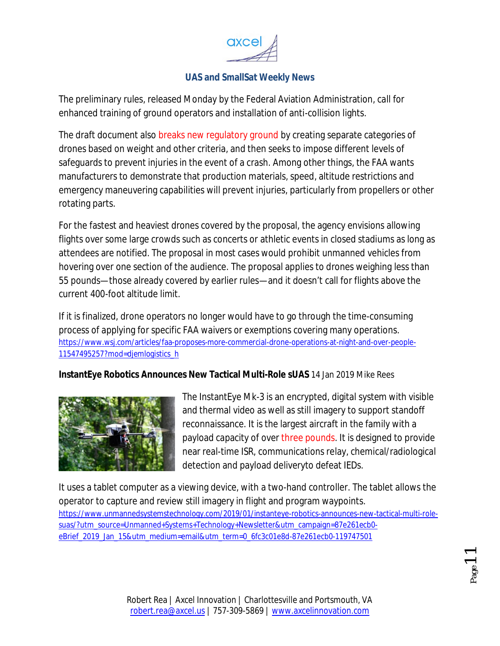

The preliminary rules, released Monday by the Federal Aviation Administration, call for enhanced training of ground operators and installation of anti-collision lights.

The draft document also breaks new regulatory ground by creating separate categories of drones based on weight and other criteria, and then seeks to impose different levels of safeguards to prevent injuries in the event of a crash. Among other things, the FAA wants manufacturers to demonstrate that production materials, speed, altitude restrictions and emergency maneuvering capabilities will prevent injuries, particularly from propellers or other rotating parts.

For the fastest and heaviest drones covered by the proposal, the agency envisions allowing flights over some large crowds such as concerts or athletic events in closed stadiums as long as attendees are notified. The proposal in most cases would prohibit unmanned vehicles from hovering over one section of the audience. The proposal applies to drones weighing less than 55 pounds—those already covered by earlier rules—and it doesn't call for flights above the current 400-foot altitude limit.

If it is finalized, drone operators no longer would have to go through the time-consuming process of applying for specific FAA waivers or exemptions covering many operations. https://www.wsj.com/articles/faa-proposes-more-commercial-drone-operations-at-night-and-over-people-11547495257?mod=djemlogistics\_h

**InstantEye Robotics Announces New Tactical Multi-Role sUAS** 14 Jan 2019 Mike Rees



The InstantEye Mk-3 is an encrypted, digital system with visible and thermal video as well as still imagery to support standoff reconnaissance. It is the largest aircraft in the family with a payload capacity of over three pounds. It is designed to provide near real-time ISR, communications relay, chemical/radiological detection and payload deliveryto defeat IEDs.

It uses a tablet computer as a viewing device, with a two-hand controller. The tablet allows the operator to capture and review still imagery in flight and program waypoints. https://www.unmannedsystemstechnology.com/2019/01/instanteye-robotics-announces-new-tactical-multi-rolesuas/?utm\_source=Unmanned+Systems+Technology+Newsletter&utm\_campaign=87e261ecb0 eBrief\_2019\_Jan\_15&utm\_medium=email&utm\_term=0\_6fc3c01e8d-87e261ecb0-119747501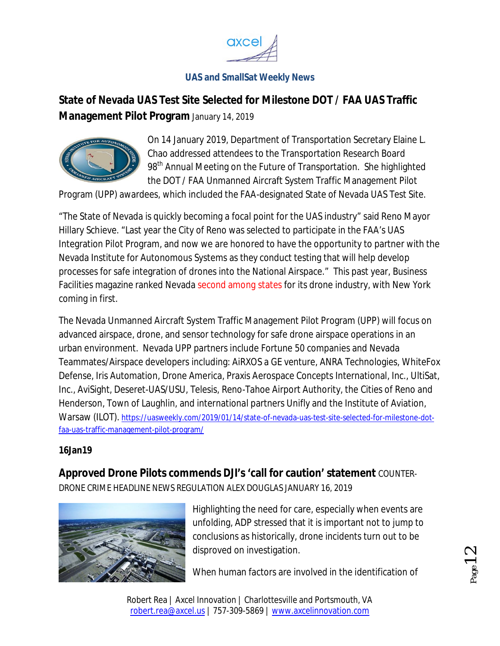

# **State of Nevada UAS Test Site Selected for Milestone DOT / FAA UAS Traffic Management Pilot Program** January 14, 2019



On 14 January 2019, Department of Transportation Secretary Elaine L. Chao addressed attendees to the Transportation Research Board 98<sup>th</sup> Annual Meeting on the Future of Transportation. She highlighted the DOT / FAA Unmanned Aircraft System Traffic Management Pilot

Program (UPP) awardees, which included the FAA-designated State of Nevada UAS Test Site.

"The State of Nevada is quickly becoming a focal point for the UAS industry" said Reno Mayor Hillary Schieve. "Last year the City of Reno was selected to participate in the FAA's UAS Integration Pilot Program, and now we are honored to have the opportunity to partner with the Nevada Institute for Autonomous Systems as they conduct testing that will help develop processes for safe integration of drones into the National Airspace." This past year, Business Facilities magazine ranked Nevada second among states for its drone industry, with New York coming in first.

The Nevada Unmanned Aircraft System Traffic Management Pilot Program (UPP) will focus on advanced airspace, drone, and sensor technology for safe drone airspace operations in an urban environment. Nevada UPP partners include Fortune 50 companies and Nevada Teammates/Airspace developers including: AiRXOS a GE venture, ANRA Technologies, WhiteFox Defense, Iris Automation, Drone America, Praxis Aerospace Concepts International, Inc., UltiSat, Inc., AviSight, Deseret-UAS/USU, Telesis, Reno-Tahoe Airport Authority, the Cities of Reno and Henderson, Town of Laughlin, and international partners Unifly and the Institute of Aviation, Warsaw (ILOT). https://uasweekly.com/2019/01/14/state-of-nevada-uas-test-site-selected-for-milestone-dotfaa-uas-traffic-management-pilot-program/

### **16Jan19**

**Approved Drone Pilots commends DJI's 'call for caution' statement** COUNTER-DRONE CRIME HEADLINE NEWS REGULATION ALEX DOUGLAS JANUARY 16, 2019



Highlighting the need for care, especially when events are unfolding, ADP stressed that it is important not to jump to conclusions as historically, drone incidents turn out to be disproved on investigation.

When human factors are involved in the identification of

Robert Rea | Axcel Innovation | Charlottesville and Portsmouth, VA robert.rea@axcel.us | 757-309-5869 | www.axcelinnovation.com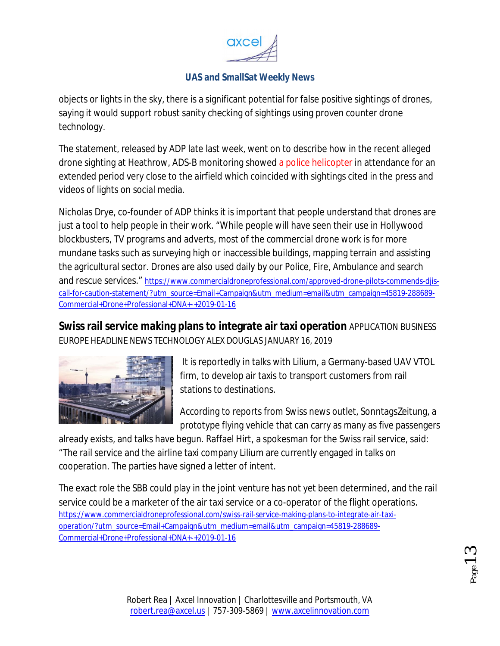

objects or lights in the sky, there is a significant potential for false positive sightings of drones, saying it would support robust sanity checking of sightings using proven counter drone technology.

The statement, released by ADP late last week, went on to describe how in the recent alleged drone sighting at Heathrow, ADS-B monitoring showed a police helicopter in attendance for an extended period very close to the airfield which coincided with sightings cited in the press and videos of lights on social media.

Nicholas Drye, co-founder of ADP thinks it is important that people understand that drones are just a tool to help people in their work. "While people will have seen their use in Hollywood blockbusters, TV programs and adverts, most of the commercial drone work is for more mundane tasks such as surveying high or inaccessible buildings, mapping terrain and assisting the agricultural sector. Drones are also used daily by our Police, Fire, Ambulance and search and rescue services." https://www.commercialdroneprofessional.com/approved-drone-pilots-commends-djiscall-for-caution-statement/?utm\_source=Email+Campaign&utm\_medium=email&utm\_campaign=45819-288689- Commercial+Drone+Professional+DNA+-+2019-01-16

**Swiss rail service making plans to integrate air taxi operation** APPLICATION BUSINESS EUROPE HEADLINE NEWS TECHNOLOGY ALEX DOUGLAS JANUARY 16, 2019



It is reportedly in talks with Lilium, a Germany-based UAV VTOL firm, to develop air taxis to transport customers from rail stations to destinations.

According to reports from Swiss news outlet, SonntagsZeitung, a prototype flying vehicle that can carry as many as five passengers

already exists, and talks have begun. Raffael Hirt, a spokesman for the Swiss rail service, said: "The rail service and the airline taxi company Lilium are currently engaged in talks on cooperation. The parties have signed a letter of intent.

The exact role the SBB could play in the joint venture has not yet been determined, and the rail service could be a marketer of the air taxi service or a co-operator of the flight operations. https://www.commercialdroneprofessional.com/swiss-rail-service-making-plans-to-integrate-air-taxioperation/?utm\_source=Email+Campaign&utm\_medium=email&utm\_campaign=45819-288689- Commercial+Drone+Professional+DNA+-+2019-01-16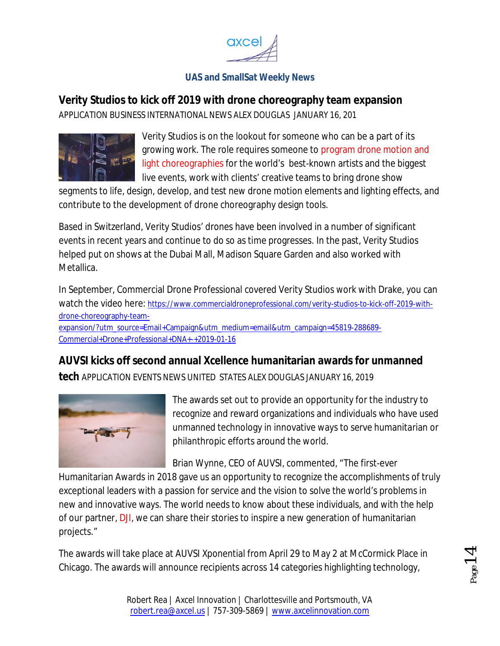

## **Verity Studios to kick off 2019 with drone choreography team expansion**

APPLICATION BUSINESS INTERNATIONAL NEWS ALEX DOUGLAS JANUARY 16, 201



Verity Studios is on the lookout for someone who can be a part of its growing work. The role requires someone to program drone motion and light choreographies for the world's best-known artists and the biggest live events, work with clients' creative teams to bring drone show

segments to life, design, develop, and test new drone motion elements and lighting effects, and contribute to the development of drone choreography design tools.

Based in Switzerland, Verity Studios' drones have been involved in a number of significant events in recent years and continue to do so as time progresses. In the past, Verity Studios helped put on shows at the Dubai Mall, Madison Square Garden and also worked with Metallica.

In September, Commercial Drone Professional covered Verity Studios work with Drake, you can watch the video here: https://www.commercialdroneprofessional.com/verity-studios-to-kick-off-2019-withdrone-choreography-teamexpansion/?utm\_source=Email+Campaign&utm\_medium=email&utm\_campaign=45819-288689- Commercial+Drone+Professional+DNA+-+2019-01-16

# **AUVSI kicks off second annual Xcellence humanitarian awards for unmanned**

**tech** APPLICATION EVENTS NEWS UNITED STATES ALEX DOUGLAS JANUARY 16, 2019



The awards set out to provide an opportunity for the industry to recognize and reward organizations and individuals who have used unmanned technology in innovative ways to serve humanitarian or philanthropic efforts around the world.

Brian Wynne, CEO of AUVSI, commented, "The first-ever

Humanitarian Awards in 2018 gave us an opportunity to recognize the accomplishments of truly exceptional leaders with a passion for service and the vision to solve the world's problems in new and innovative ways. The world needs to know about these individuals, and with the help of our partner, DJI, we can share their stories to inspire a new generation of humanitarian projects."

The awards will take place at AUVSI Xponential from April 29 to May 2 at McCormick Place in Chicago. The awards will announce recipients across 14 categories highlighting technology,

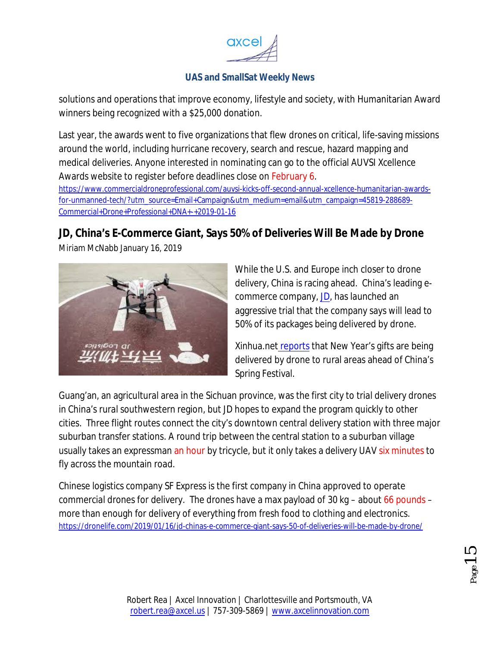

solutions and operations that improve economy, lifestyle and society, with Humanitarian Award winners being recognized with a \$25,000 donation.

Last year, the awards went to five organizations that flew drones on critical, life-saving missions around the world, including hurricane recovery, search and rescue, hazard mapping and medical deliveries. Anyone interested in nominating can go to the official AUVSI Xcellence Awards website to register before deadlines close on February 6.

https://www.commercialdroneprofessional.com/auvsi-kicks-off-second-annual-xcellence-humanitarian-awardsfor-unmanned-tech/?utm\_source=Email+Campaign&utm\_medium=email&utm\_campaign=45819-288689- Commercial+Drone+Professional+DNA+-+2019-01-16

# **JD, China's E-Commerce Giant, Says 50% of Deliveries Will Be Made by Drone**

Miriam McNabb January 16, 2019

While the U.S. and Europe inch closer to drone delivery, China is racing ahead. China's leading ecommerce company, JD, has launched an aggressive trial that the company says will lead to 50% of its packages being delivered by drone.

Xinhua.net reports that New Year's gifts are being delivered by drone to rural areas ahead of China's Spring Festival.

Guang'an, an agricultural area in the Sichuan province, was the first city to trial delivery drones in China's rural southwestern region, but JD hopes to expand the program quickly to other cities. Three flight routes connect the city's downtown central delivery station with three major suburban transfer stations. A round trip between the central station to a suburban village usually takes an expressman an hour by tricycle, but it only takes a delivery UAV six minutes to fly across the mountain road.

Chinese logistics company SF Express is the first company in China approved to operate commercial drones for delivery. The drones have a max payload of 30 kg – about  $66$  pounds – more than enough for delivery of everything from fresh food to clothing and electronics. https://dronelife.com/2019/01/16/jd-chinas-e-commerce-giant-says-50-of-deliveries-will-be-made-by-drone/

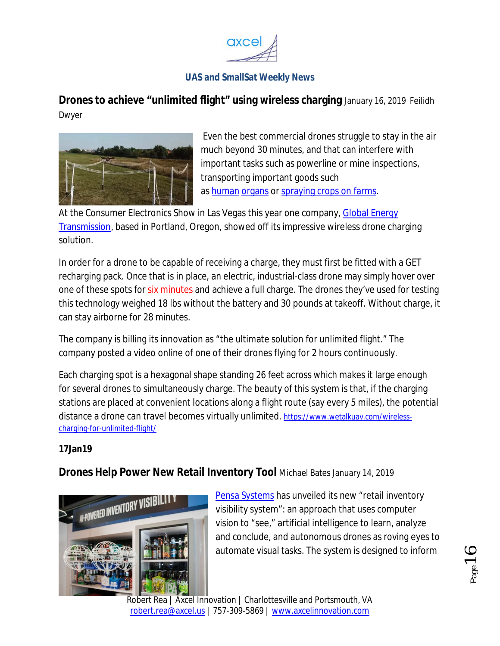

**Drones to achieve "unlimited flight" using wireless charging** January 16, 2019 Feilidh Dwyer



Even the best commercial drones struggle to stay in the air much beyond 30 minutes, and that can interfere with important tasks such as powerline or mine inspections, transporting important goods such as human organs or spraying crops on farms.

At the Consumer Electronics Show in Las Vegas this year one company, Global Energy Transmission, based in Portland, Oregon, showed off its impressive wireless drone charging solution.

In order for a drone to be capable of receiving a charge, they must first be fitted with a GET recharging pack. Once that is in place, an electric, industrial-class drone may simply hover over one of these spots for six minutes and achieve a full charge. The drones they've used for testing this technology weighed 18 lbs without the battery and 30 pounds at takeoff. Without charge, it can stay airborne for 28 minutes.

The company is billing its innovation as "the ultimate solution for unlimited flight." The company posted a video online of one of their drones flying for 2 hours continuously.

Each charging spot is a hexagonal shape standing 26 feet across which makes it large enough for several drones to simultaneously charge. The beauty of this system is that, if the charging stations are placed at convenient locations along a flight route (say every 5 miles), the potential distance a drone can travel becomes virtually unlimited. https://www.wetalkuav.com/wirelesscharging-for-unlimited-flight/

### **17Jan19**

**Drones Help Power New Retail Inventory Tool** Michael Bates January 14, 2019



Pensa Systems has unveiled its new "retail inventory visibility system": an approach that uses computer vision to "see," artificial intelligence to learn, analyze and conclude, and autonomous drones as roving eyes to automate visual tasks. The system is designed to inform

Page<sup>1</sup>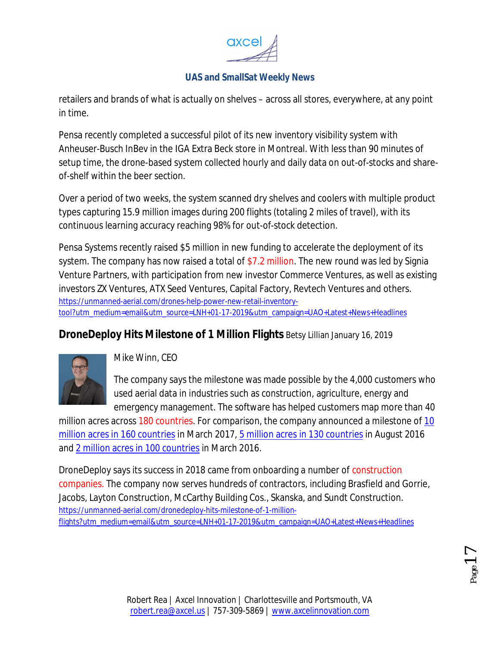

retailers and brands of what is actually on shelves – across all stores, everywhere, at any point in time.

Pensa recently completed a successful pilot of its new inventory visibility system with Anheuser-Busch InBev in the IGA Extra Beck store in Montreal. With less than 90 minutes of setup time, the drone-based system collected hourly and daily data on out-of-stocks and shareof-shelf within the beer section.

Over a period of two weeks, the system scanned dry shelves and coolers with multiple product types capturing 15.9 million images during 200 flights (totaling 2 miles of travel), with its continuous learning accuracy reaching 98% for out-of-stock detection.

Pensa Systems recently raised \$5 million in new funding to accelerate the deployment of its system. The company has now raised a total of \$7.2 million. The new round was led by Signia Venture Partners, with participation from new investor Commerce Ventures, as well as existing investors ZX Ventures, ATX Seed Ventures, Capital Factory, Revtech Ventures and others. https://unmanned-aerial.com/drones-help-power-new-retail-inventorytool?utm\_medium=email&utm\_source=LNH+01-17-2019&utm\_campaign=UAO+Latest+News+Headlines

## **DroneDeploy Hits Milestone of 1 Million Flights** Betsy Lillian January 16, 2019



*Mike Winn, CEO* 

The company says the milestone was made possible by the 4,000 customers who used aerial data in industries such as construction, agriculture, energy and emergency management. The software has helped customers map more than 40

million acres across 180 countries. For comparison, the company announced a milestone of 10 million acres in 160 countries in March 2017, 5 million acres in 130 countries in August 2016 and 2 million acres in 100 countries in March 2016.

DroneDeploy says its success in 2018 came from onboarding a number of construction companies. The company now serves hundreds of contractors, including Brasfield and Gorrie, Jacobs, Layton Construction, McCarthy Building Cos., Skanska, and Sundt Construction. https://unmanned-aerial.com/dronedeploy-hits-milestone-of-1-millionflights?utm\_medium=email&utm\_source=LNH+01-17-2019&utm\_campaign=UAO+Latest+News+Headlines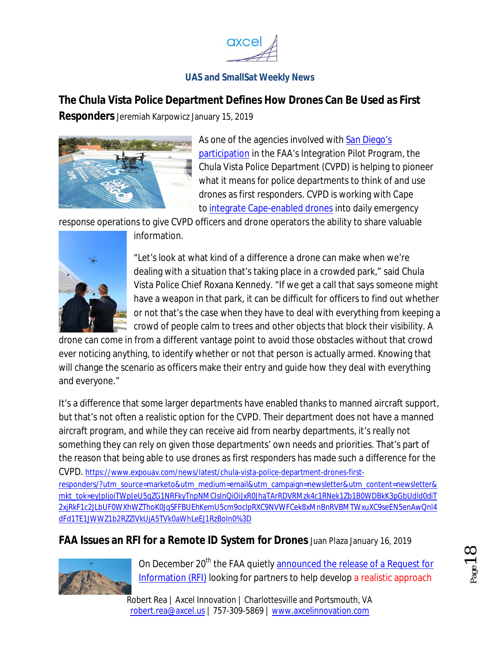

# **The Chula Vista Police Department Defines How Drones Can Be Used as First**

**Responders** Jeremiah Karpowicz January 15, 2019



As one of the agencies involved with San Diego's participation in the FAA's Integration Pilot Program, the Chula Vista Police Department (CVPD) is helping to pioneer what it means for police departments to think of and use drones as first responders. CVPD is working with Cape to integrate Cape-enabled drones into daily emergency

response operations to give CVPD officers and drone operators the ability to share valuable



information.

"Let's look at what kind of a difference a drone can make when we're dealing with a situation that's taking place in a crowded park," said Chula Vista Police Chief Roxana Kennedy. "If we get a call that says someone might have a weapon in that park, it can be difficult for officers to find out whether or not that's the case when they have to deal with everything from keeping a crowd of people calm to trees and other objects that block their visibility. A

drone can come in from a different vantage point to avoid those obstacles without that crowd ever noticing anything, to identify whether or not that person is actually armed. Knowing that will change the scenario as officers make their entry and guide how they deal with everything and everyone."

It's a difference that some larger departments have enabled thanks to manned aircraft support, but that's not often a realistic option for the CVPD. Their department does not have a manned aircraft program, and while they can receive aid from nearby departments, it's really not something they can rely on given those departments' own needs and priorities. That's part of the reason that being able to use drones as first responders has made such a difference for the CVPD. https://www.expouav.com/news/latest/chula-vista-police-department-drones-firstresponders/?utm\_source=marketo&utm\_medium=email&utm\_campaign=newsletter&utm\_content=newsletter& mkt\_tok=eyJpIjoiTWpJeU5qZG1NRFkyTnpNMCIsInQiOiJxR0JhaTArRDVRMzk4c1RNek1Zb1B0WDBkK3pGbUdld0diT 2xjRkF1c2JLbUF0WXhWZThoK0JqSFFBUEhKemU5cm9oclpRXC9NVWFCek8xMnBnRVBMTWxuXC9seEN5enAwQnl4 dFd1TE1JWWZ1b2RZZlVkUjA5TVk0aWhLeEJ1RzBoIn0%3D

# **FAA Issues an RFI for a Remote ID System for Drones** Juan Plaza January 16, 2019



On December 20<sup>th</sup> the FAA quietly announced the release of a Request for Information (RFI) looking for partners to help develop a realistic approach

Robert Rea | Axcel Innovation | Charlottesville and Portsmouth, VA robert.rea@axcel.us | 757-309-5869 | www.axcelinnovation.com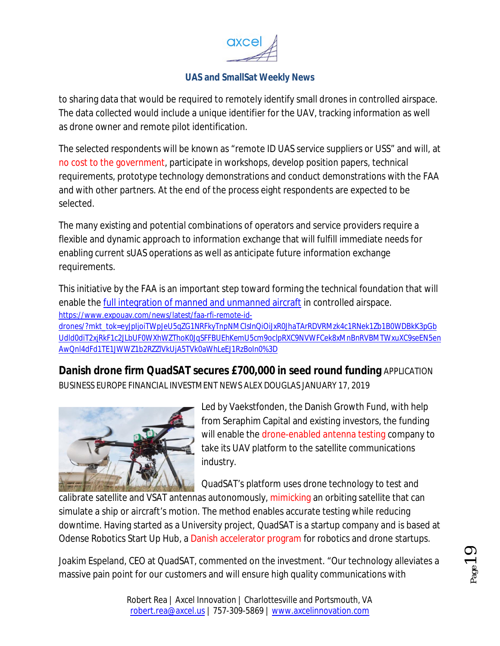

to sharing data that would be required to remotely identify small drones in controlled airspace. The data collected would include a unique identifier for the UAV, tracking information as well as drone owner and remote pilot identification.

The selected respondents will be known as "remote ID UAS service suppliers or USS" and will, at no cost to the government, participate in workshops, develop position papers, technical requirements, prototype technology demonstrations and conduct demonstrations with the FAA and with other partners. At the end of the process eight respondents are expected to be selected.

The many existing and potential combinations of operators and service providers require a flexible and dynamic approach to information exchange that will fulfill immediate needs for enabling current sUAS operations as well as anticipate future information exchange requirements.

This initiative by the FAA is an important step toward forming the technical foundation that will enable the full integration of manned and unmanned aircraft in controlled airspace. https://www.expouav.com/news/latest/faa-rfi-remote-iddrones/?mkt\_tok=eyJpIjoiTWpJeU5qZG1NRFkyTnpNMCIsInQiOiJxR0JhaTArRDVRMzk4c1RNek1Zb1B0WDBkK3pGb Udld0diT2xjRkF1c2JLbUF0WXhWZThoK0JqSFFBUEhKemU5cm9oclpRXC9NVWFCek8xMnBnRVBMTWxuXC9seEN5en AwQnl4dFd1TE1JWWZ1b2RZZlVkUjA5TVk0aWhLeEJ1RzBoIn0%3D

**Danish drone firm QuadSAT secures £700,000 in seed round funding** APPLICATION BUSINESS EUROPE FINANCIAL INVESTMENT NEWS ALEX DOUGLAS JANUARY 17, 2019



Led by Vaekstfonden, the Danish Growth Fund, with help from Seraphim Capital and existing investors, the funding will enable the drone-enabled antenna testing company to take its UAV platform to the satellite communications industry.

QuadSAT's platform uses drone technology to test and

calibrate satellite and VSAT antennas autonomously, mimicking an orbiting satellite that can simulate a ship or aircraft's motion. The method enables accurate testing while reducing downtime. Having started as a University project, QuadSAT is a startup company and is based at Odense Robotics Start Up Hub, a Danish accelerator program for robotics and drone startups.

Joakim Espeland, CEO at QuadSAT, commented on the investment. "Our technology alleviates a massive pain point for our customers and will ensure high quality communications with

Page19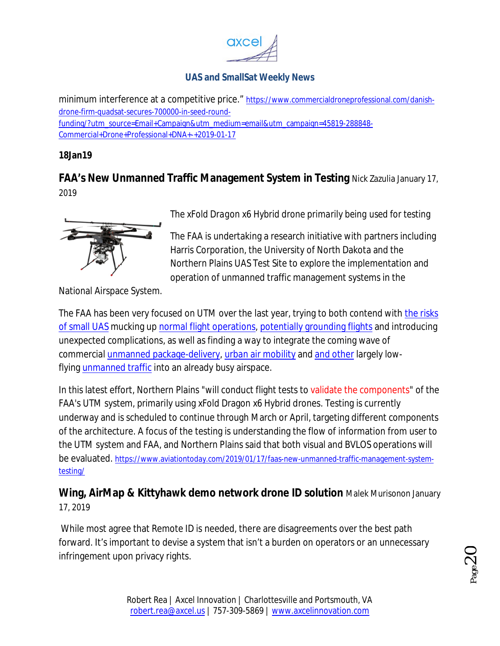

minimum interference at a competitive price." https://www.commercialdroneprofessional.com/danishdrone-firm-quadsat-secures-700000-in-seed-roundfunding/?utm\_source=Email+Campaign&utm\_medium=email&utm\_campaign=45819-288848- Commercial+Drone+Professional+DNA+-+2019-01-17

### **18Jan19**

**FAA's New Unmanned Traffic Management System in Testing** Nick Zazulia January 17, 2019



*The xFold Dragon x6 Hybrid drone primarily being used for testing*

The FAA is undertaking a research initiative with partners including Harris Corporation, the University of North Dakota and the Northern Plains UAS Test Site to explore the implementation and operation of unmanned traffic management systems in the

National Airspace System.

The FAA has been very focused on UTM over the last year, trying to both contend with the risks of small UAS mucking up normal flight operations, potentially grounding flights and introducing unexpected complications, as well as finding a way to integrate the coming wave of commercial unmanned package-delivery, urban air mobility and and other largely lowflying unmanned traffic into an already busy airspace.

In this latest effort, Northern Plains "will conduct flight tests to validate the components" of the FAA's UTM system, primarily using xFold Dragon x6 Hybrid drones. Testing is currently underway and is scheduled to continue through March or April, targeting different components of the architecture. A focus of the testing is understanding the flow of information from user to the UTM system and FAA, and Northern Plains said that both visual and BVLOS operations will be evaluated. https://www.aviationtoday.com/2019/01/17/faas-new-unmanned-traffic-management-systemtesting/

**Wing, AirMap & Kittyhawk demo network drone ID solution** Malek Murisonon January 17, 2019

While most agree that Remote ID is needed, there are disagreements over the best path forward. It's important to devise a system that isn't a burden on operators or an unnecessary infringement upon privacy rights.